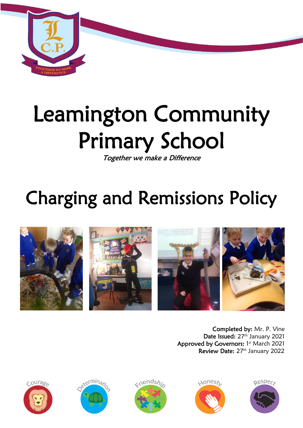

# Leamington Community Primary School

Together we make a Difference

# Charging and Remissions Policy



Completed by: Mr. P. Vine Date Issued: 27<sup>th</sup> January 2021 Approved by Governors: 1st March 2021 Review Date: 27<sup>th</sup> January 2022









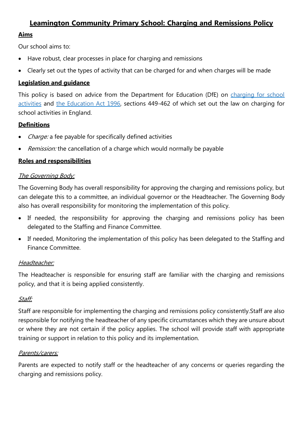# **Leamington Community Primary School: Charging and Remissions Policy**

## **Aims**

Our school aims to:

- Have robust, clear processes in place for charging and remissions
- Clearly set out the types of activity that can be charged for and when charges will be made

# **Legislation and guidance**

This policy is based on advice from the Department for Education (DfE) on charging for school [activities](https://www.gov.uk/government/publications/charging-for-school-activities) and [the Education Act 1996,](http://www.legislation.gov.uk/ukpga/1996/56/part/VI/chapter/III) sections 449-462 of which set out the law on charging for school activities in England.

### **Definitions**

- Charge: a fee payable for specifically defined activities
- Remission: the cancellation of a charge which would normally be payable

### **Roles and responsibilities**

#### The Governing Body:

The Governing Body has overall responsibility for approving the charging and remissions policy, but can delegate this to a committee, an individual governor or the Headteacher. The Governing Body also has overall responsibility for monitoring the implementation of this policy.

- If needed, the responsibility for approving the charging and remissions policy has been delegated to the Staffing and Finance Committee.
- If needed, Monitoring the implementation of this policy has been delegated to the Staffing and Finance Committee.

#### Headteacher:

The Headteacher is responsible for ensuring staff are familiar with the charging and remissions policy, and that it is being applied consistently.

# Staff:

Staff are responsible for implementing the charging and remissions policy consistently.Staff are also responsible for notifying the headteacher of any specific circumstances which they are unsure about or where they are not certain if the policy applies. The school will provide staff with appropriate training or support in relation to this policy and its implementation.

#### Parents/carers:

Parents are expected to notify staff or the headteacher of any concerns or queries regarding the charging and remissions policy.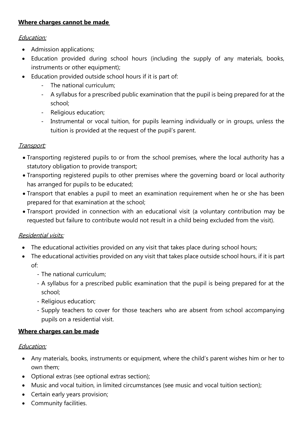# **Where charges cannot be made**

#### Education:

- Admission applications;
- Education provided during school hours (including the supply of any materials, books, instruments or other equipment);
- Education provided outside school hours if it is part of:
	- The national curriculum;
	- A syllabus for a prescribed public examination that the pupil is being prepared for at the school;
	- Religious education;
	- Instrumental or vocal tuition, for pupils learning individually or in groups, unless the tuition is provided at the request of the pupil's parent.

# Transport:

- Transporting registered pupils to or from the school premises, where the local authority has a statutory obligation to provide transport;
- Transporting registered pupils to other premises where the governing board or local authority has arranged for pupils to be educated;
- Transport that enables a pupil to meet an examination requirement when he or she has been prepared for that examination at the school;
- Transport provided in connection with an educational visit (a voluntary contribution may be requested but failure to contribute would not result in a child being excluded from the visit).

# Residential visits:

- The educational activities provided on any visit that takes place during school hours;
- The educational activities provided on any visit that takes place outside school hours, if it is part of:
	- The national curriculum;
	- A syllabus for a prescribed public examination that the pupil is being prepared for at the school;
	- Religious education;
	- Supply teachers to cover for those teachers who are absent from school accompanying pupils on a residential visit.

# **Where charges can be made**

# Education:

- Any materials, books, instruments or equipment, where the child's parent wishes him or her to own them;
- Optional extras (see optional extras section);
- Music and vocal tuition, in limited circumstances (see music and vocal tuition section);
- Certain early years provision;
- Community facilities.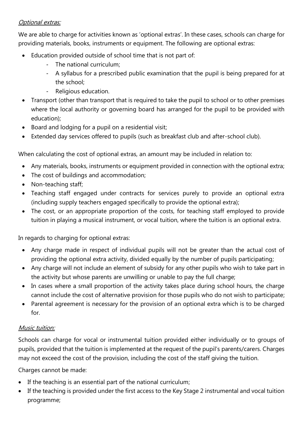# Optional extras:

We are able to charge for activities known as 'optional extras'. In these cases, schools can charge for providing materials, books, instruments or equipment. The following are optional extras:

- Education provided outside of school time that is not part of:
	- The national curriculum;
	- A syllabus for a prescribed public examination that the pupil is being prepared for at the school;
	- Religious education.
- Transport (other than transport that is required to take the pupil to school or to other premises where the local authority or governing board has arranged for the pupil to be provided with education);
- Board and lodging for a pupil on a residential visit;
- Extended day services offered to pupils (such as breakfast club and after-school club).

When calculating the cost of optional extras, an amount may be included in relation to:

- Any materials, books, instruments or equipment provided in connection with the optional extra;
- The cost of buildings and accommodation:
- Non-teaching staff;
- Teaching staff engaged under contracts for services purely to provide an optional extra (including supply teachers engaged specifically to provide the optional extra);
- The cost, or an appropriate proportion of the costs, for teaching staff employed to provide tuition in playing a musical instrument, or vocal tuition, where the tuition is an optional extra.

In regards to charging for optional extras:

- Any charge made in respect of individual pupils will not be greater than the actual cost of providing the optional extra activity, divided equally by the number of pupils participating;
- Any charge will not include an element of subsidy for any other pupils who wish to take part in the activity but whose parents are unwilling or unable to pay the full charge;
- In cases where a small proportion of the activity takes place during school hours, the charge cannot include the cost of alternative provision for those pupils who do not wish to participate;
- Parental agreement is necessary for the provision of an optional extra which is to be charged for.

# Music tuition:

Schools can charge for vocal or instrumental tuition provided either individually or to groups of pupils, provided that the tuition is implemented at the request of the pupil's parents/carers. Charges may not exceed the cost of the provision, including the cost of the staff giving the tuition.

Charges cannot be made:

- If the teaching is an essential part of the national curriculum;
- If the teaching is provided under the first access to the Key Stage 2 instrumental and vocal tuition programme;